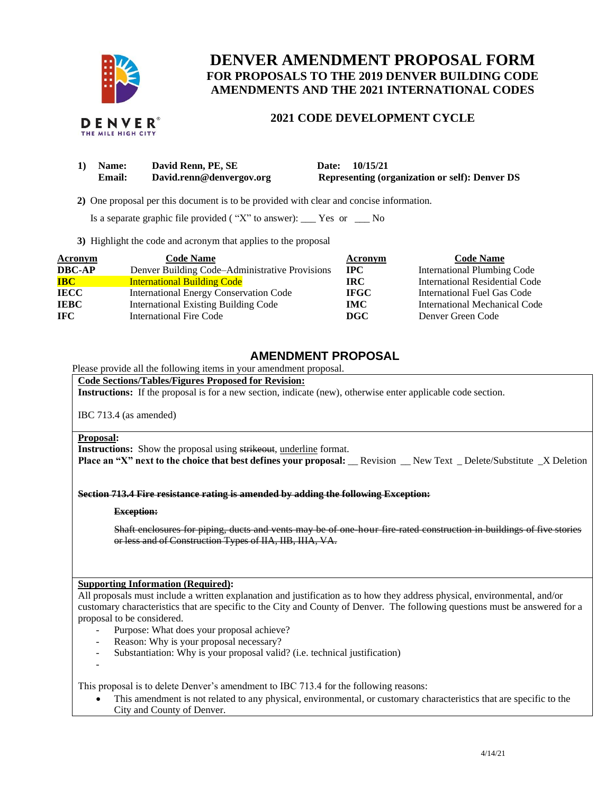

# **DENVER AMENDMENT PROPOSAL FORM FOR PROPOSALS TO THE 2019 DENVER BUILDING CODE AMENDMENTS AND THE 2021 INTERNATIONAL CODES**

# **2021 CODE DEVELOPMENT CYCLE**

| 1) | Name:         | David Renn, PE, SE       | Date: 10/15/21                                        |
|----|---------------|--------------------------|-------------------------------------------------------|
|    | <b>Email:</b> | David.renn@denvergov.org | <b>Representing (organization or self): Denver DS</b> |

 **2)** One proposal per this document is to be provided with clear and concise information.

Is a separate graphic file provided ( "X" to answer):  $\_\_\_\$  Yes or  $\_\_\_\$  No

**3)** Highlight the code and acronym that applies to the proposal

| <b>Acronym</b> | <b>Code Name</b>                               | Acronym      | <b>Code Name</b>                   |
|----------------|------------------------------------------------|--------------|------------------------------------|
| <b>DBC-AP</b>  | Denver Building Code–Administrative Provisions | $_{\rm IPC}$ | <b>International Plumbing Code</b> |
| <b>IBC</b>     | <b>International Building Code</b>             | IRC.         | International Residential Code     |
| <b>IECC</b>    | <b>International Energy Conservation Code</b>  | <b>IFGC</b>  | International Fuel Gas Code        |
| <b>IEBC</b>    | <b>International Existing Building Code</b>    | <b>IMC</b>   | International Mechanical Code      |
| IFC.           | <b>International Fire Code</b>                 | <b>DGC</b>   | Denver Green Code                  |

## **AMENDMENT PROPOSAL**

Please provide all the following items in your amendment proposal.

### **Code Sections/Tables/Figures Proposed for Revision:**

**Instructions:** If the proposal is for a new section, indicate (new), otherwise enter applicable code section.

IBC 713.4 (as amended)

#### **Proposal:**

**Instructions:** Show the proposal using strikeout, underline format.

**Place an "X" next to the choice that best defines your proposal:** \_\_Revision \_\_New Text \_ Delete/Substitute \_X Deletion

**Section 713.4 Fire resistance rating is amended by adding the following Exception:**

### **Exception:**

Shaft enclosures for piping, ducts and vents may be of one-hour fire-rated construction in buildings of five stories or less and of Construction Types of IIA, IIB, IIIA, VA.

### **Supporting Information (Required):**

All proposals must include a written explanation and justification as to how they address physical, environmental, and/or customary characteristics that are specific to the City and County of Denver. The following questions must be answered for a proposal to be considered.

- Purpose: What does your proposal achieve?
- Reason: Why is your proposal necessary?
- Substantiation: Why is your proposal valid? (i.e. technical justification)
- -

This proposal is to delete Denver's amendment to IBC 713.4 for the following reasons:

• This amendment is not related to any physical, environmental, or customary characteristics that are specific to the City and County of Denver.